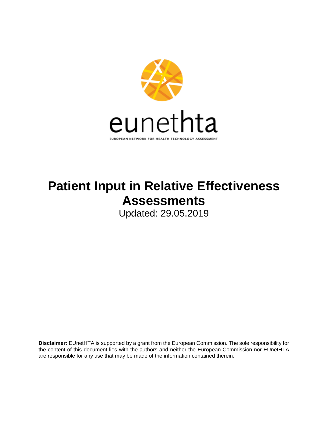

# **Patient Input in Relative Effectiveness Assessments**

Updated: 29.05.2019

**Disclaimer:** EUnetHTA is supported by a grant from the European Commission. The sole responsibility for the content of this document lies with the authors and neither the European Commission nor EUnetHTA are responsible for any use that may be made of the information contained therein.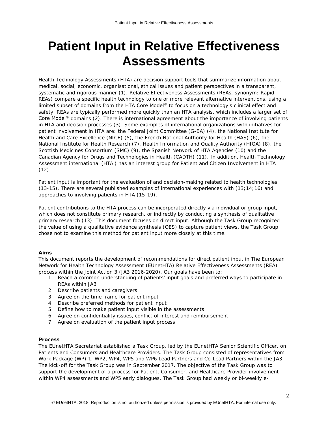## **Patient Input in Relative Effectiveness Assessments**

Health Technology Assessments (HTA) are decision support tools that summarize information about medical, social, economic, organisational, ethical issues and patient perspectives in a transparent, systematic and rigorous manner (1). Relative Effectiveness Assessments (REAs, synonym: Rapid REAs) compare a specific health technology to one or more relevant alternative interventions, using a limited subset of domains from the HTA Core Model<sup>®</sup> to focus on a technology's clinical effect and safety. REAs are typically performed more quickly than an HTA analysis, which includes a larger set of Core Model® domains (2). There is international agreement about the importance of involving patients in HTA and decision processes (3). Some examples of international organizations with initiatives for patient involvement in HTA are: the Federal Joint Committee (G-BA) (4), the National Institute for Health and Care Excellence (NICE) (5), the French National Authority for Health (HAS) (6), the National Institute for Health Research (7), Health Information and Quality Authority (HIQA) (8), the Scottish Medicines Consortium (SMC) (9), the Spanish Network of HTA Agencies (10) and the Canadian Agency for Drugs and Technologies in Health (CADTH) (11). In addition, Health Technology Assessment international (HTAi) has an interest group for Patient and Citizen Involvement in HTA  $(12)$ .

Patient input is important for the evaluation of and decision-making related to health technologies (13-15). There are several published examples of international experiences with (13;14;16) and approaches to involving patients in HTA (15-19).

Patient contributions to the HTA process can be incorporated directly via individual or group input, which does not constitute primary research, or indirectly by conducting a synthesis of qualitative primary research (13). This document focuses on direct input. Although the Task Group recognized the value of using a qualitative evidence synthesis (QES) to capture patient views, the Task Group chose not to examine this method for patient input more closely at this time.

## *Aims*

This document reports the development of recommendations for direct patient input in The European Network for Health Technology Assessment (EUnetHTA) Relative Effectiveness Assessments (REA) process within the Joint Action 3 (JA3 2016-2020). Our goals have been to:

- *1. Reach a common understanding of patients' input goals and preferred ways to participate in REAs within JA3*
- *2. Describe patients and caregivers*
- *3. Agree on the time frame for patient input*
- *4. Describe preferred methods for patient input*
- *5. Define how to make patient input visible in the assessments*
- *6. Agree on confidentiality issues, conflict of interest and reimbursement*
- *7. Agree on evaluation of the patient input process*

## **Process**

The EUnetHTA Secretariat established a Task Group, led by the EUnetHTA Senior Scientific Officer, on Patients and Consumers and Healthcare Providers. The Task Group consisted of representatives from Work Package (WP) 1, WP2, WP4, WP5 and WP6 Lead Partners and Co-Lead Partners within the JA3. The kick-off for the Task Group was in September 2017. The objective of the Task Group was to support the development of a process for Patient, Consumer, and Healthcare Provider involvement within WP4 assessments and WP5 early dialogues. The Task Group had weekly or bi-weekly e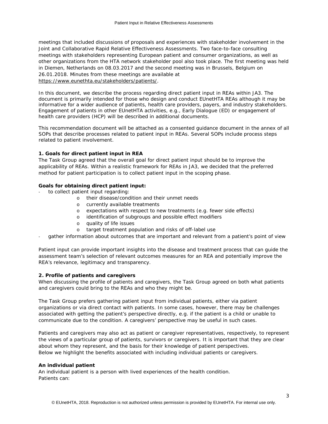meetings that included discussions of proposals and experiences with stakeholder involvement in the Joint and Collaborative Rapid Relative Effectiveness Assessments. Two face-to-face consulting meetings with stakeholders representing European patient and consumer organizations, as well as other organizations from the HTA network stakeholder pool also took place. The first meeting was held in Diemen, Netherlands on 08.03.2017 and the second meeting was in Brussels, Belgium on 26.01.2018. Minutes from these meetings are available at [https://www.eunethta.eu/stakeholders/patients/.](https://www.eunethta.eu/stakeholders/patients/)

In this document, we describe the process regarding direct patient input in REAs within JA3. The document is primarily intended for those who design and conduct EUnetHTA REAs although it may be informative for a wider audience of patients, health care providers, payers, and industry stakeholders. Engagement of patients in other EUnetHTA activities, e.g., Early Dialogue (ED) or engagement of health care providers (HCP) will be described in additional documents.

This recommendation document will be attached as a consented guidance document in the annex of all SOPs that describe processes related to patient input in REAs. Several SOPs include process steps related to patient involvement.

## **1. Goals for direct patient input in REA**

The Task Group agreed that the overall goal for direct patient input should be to improve the applicability of REAs. Within a realistic framework for REAs in JA3, we decided that the preferred method for patient participation is to collect patient input in the scoping phase.

## *Goals for obtaining direct patient input:*

- *to collect patient input regarding:*
	- o *their disease/condition and their unmet needs*
	- o *currently available treatments*
	- o *expectations with respect to new treatments (e.g. fewer side effects)*
	- o *identification of subgroups and possible effect modifiers*
	- o *quality of life issues*
	- o *target treatment population and risks of off-label use*
- *gather information about outcomes that are important and relevant from a patient's point of view*

Patient input can provide important insights into the disease and treatment process that can guide the assessment team's selection of relevant outcomes measures for an REA and potentially improve the REA's relevance, legitimacy and transparency.

## **2. Profile of patients and caregivers**

When discussing the profile of patients and caregivers, the Task Group agreed on both what patients and caregivers could bring to the REAs and who they might be.

The Task Group prefers gathering patient input from individual patients, either via patient organizations or via direct contact with patients. In some cases, however, there may be challenges associated with getting the patient's perspective directly, e.g. if the patient is a child or unable to communicate due to the condition. A caregivers' perspective may be useful in such cases.

Patients and caregivers may also act as patient or caregiver representatives, respectively, to represent the views of a particular group of patients, survivors or caregivers. It is important that they are clear about whom they represent, and the basis for their knowledge of patient perspectives. Below we highlight the benefits associated with including individual patients or caregivers.

## **An individual patient**

An individual patient is a person with lived experiences of the health condition. Patients can: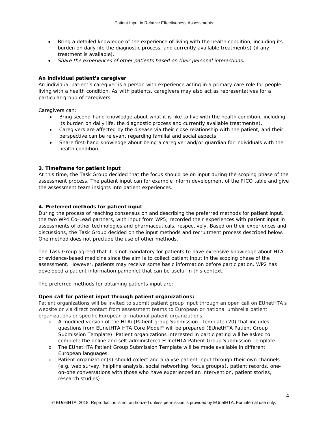- *Bring a detailed knowledge of the experience of living with the health condition, including its burden on daily life the diagnostic process, and currently available treatment(s) (if any treatment is available).*
- *Share the experiences of other patients based on their personal interactions.*

## **An individual patient's caregiver**

An individual patient's caregiver is a person with experience acting in a primary care role for people living with a health condition. As with patients, caregivers may also act as representatives for a particular group of caregivers.

Caregivers can:

- *Bring second-hand knowledge about what it is like to live with the health condition, including its burden on daily life, the diagnostic process and currently available treatment(s).*
- *Caregivers are affected by the disease via their close relationship with the patient, and their perspective can be relevant regarding familial and social aspects*
- *Share first-hand knowledge about being a caregiver and/or guardian for individuals with the health condition*

## **3. Timeframe for patient input**

At this time, the Task Group decided that the focus should be on input during the scoping phase of the assessment process. The patient input can for example inform development of the PICO table and give the assessment team insights into patient experiences.

## **4. Preferred methods for patient input**

During the process of reaching consensus on and describing the preferred methods for patient input, the two WP4 Co-Lead partners, with input from WP5, recorded their experiences with patient input in assessments of other technologies and pharmaceuticals, respectively. Based on their experiences and discussions, the Task Group decided on the input methods and recruitment process described below. One method does not preclude the use of other methods.

The Task Group agreed that it is not mandatory for patients to have extensive knowledge about HTA or evidence-based medicine since the aim is to collect patient input in the scoping phase of the assessment. However, patients may receive some basic information before participation. WP2 has developed a patient information pamphlet that can be useful in this context.

The preferred methods for obtaining patients input are:

#### **Open call for patient input through patient organizations:**

Patient organizations will be invited to submit patient group input through an open call on EUnetHTA's website or via direct contact from assessment teams to European or national umbrella patient organizations or specific European or national patient organizations.

- o *A modified version of the HTAi [Patient group Submission] Template (20) that includes questions from EUnetHTA HTA Core Model® will be prepared (EUnetHTA Patient Group Submission Template). Patient organizations interested in participating will be asked to complete the online and self-administered EUnetHTA Patient Group Submission Template.*
- o *The EUnetHTA Patient Group Submission Template will be made available in different European languages.*
- o *Patient organization(s) should collect and analyse patient input through their own channels (e.g. web survey, helpline analysis, social networking, focus group(s), patient records, oneon-one conversations with those who have experienced an intervention, patient stories, research studies).*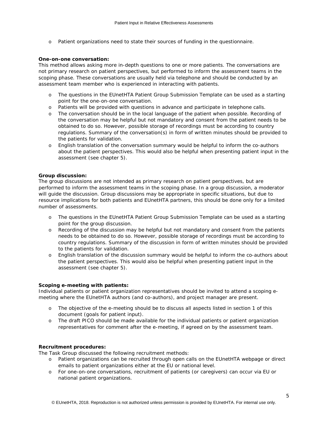o *Patient organizations need to state their sources of funding in the questionnaire.*

## **One-on-one conversation:**

This method allows asking more in-depth questions to one or more patients. The conversations are not primary research on patient perspectives, but performed to inform the assessment teams in the scoping phase. These conversations are usually held via telephone and should be conducted by an assessment team member who is experienced in interacting with patients.

- o *The questions in the EUnetHTA Patient Group Submission Template can be used as a starting point for the one-on-one conversation.*
- o *Patients will be provided with questions in advance and participate in telephone calls.*
- o *The conversation should be in the local language of the patient when possible. Recording of the conversation may be helpful but not mandatory and consent from the patient needs to be obtained to do so. However, possible storage of recordings must be according to country regulations. Summary of the conversation(s) in form of written minutes should be provided to the patients for validation.*
- o *English translation of the conversation summary would be helpful to inform the co-authors about the patient perspectives. This would also be helpful when presenting patient input in the assessment (see chapter 5).*

## **Group discussion:**

The group discussions are not intended as primary research on patient perspectives, but are performed to inform the assessment teams in the scoping phase. In a group discussion, a moderator will guide the discussion. Group discussions may be appropriate in specific situations, but due to resource implications for both patients and EUnetHTA partners, this should be done only for a limited number of assessments.

- o *The questions in the EUnetHTA Patient Group Submission Template can be used as a starting point for the group discussion.*
- o *Recording of the discussion may be helpful but not mandatory and consent from the patients needs to be obtained to do so. However, possible storage of recordings must be according to country regulations. Summary of the discussion in form of written minutes should be provided to the patients for validation.*
- o *English translation of the discussion summary would be helpful to inform the co-authors about the patient perspectives. This would also be helpful when presenting patient input in the assessment (see chapter 5).*

## **Scoping e-meeting with patients:**

Individual patients or patient organization representatives should be invited to attend a scoping emeeting where the EUnetHTA authors (and co-authors), and project manager are present.

- o *The objective of the e-meeting should be to discuss all aspects listed in section 1 of this document (goals for patient input).*
- o *The draft PICO should be made available for the individual patients or patient organization representatives for comment after the e-meeting, if agreed on by the assessment team.*

## *Recruitment procedures:*

The Task Group discussed the following recruitment methods:

- o *Patient organizations can be recruited through open calls on the EUnetHTA webpage or direct emails to patient organizations either at the EU or national level.*
- o *For one-on-one conversations, recruitment of patients (or caregivers) can occur via EU or national patient organizations.*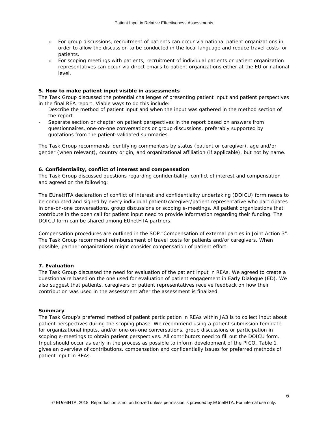- o *For group discussions, recruitment of patients can occur via national patient organizations in order to allow the discussion to be conducted in the local language and reduce travel costs for patients.*
- o *For scoping meetings with patients, recruitment of individual patients or patient organization representatives can occur via direct emails to patient organizations either at the EU or national level.*

## **5. How to make patient input visible in assessments**

The Task Group discussed the potential challenges of presenting patient input and patient perspectives in the final REA report. Viable ways to do this include:

- *Describe the method of patient input and when the input was gathered in the method section of the report*
- *Separate section or chapter on patient perspectives in the report based on answers from questionnaires, one-on-one conversations or group discussions, preferably supported by quotations from the patient-validated summaries.*

The Task Group recommends identifying commenters by status (patient or caregiver), age and/or gender (when relevant), country origin, and organizational affiliation (if applicable), but not by name.

## **6. Confidentiality, conflict of interest and compensation**

The Task Group discussed questions regarding confidentiality, conflict of interest and compensation and agreed on the following:

The EUnetHTA declaration of conflict of interest and confidentiality undertaking (DOICU) form needs to be completed and signed by every individual patient/caregiver/patient representative who participates in one-on-one conversations, group discussions or scoping e-meetings. All patient organizations that contribute in the open call for patient input need to provide information regarding their funding. The DOICU form can be shared among EUnetHTA partners.

Compensation procedures are outlined in the SOP "Compensation of external parties in Joint Action 3". The Task Group recommend reimbursement of travel costs for patients and/or caregivers. When possible, partner organizations might consider compensation of patient effort.

## **7. Evaluation**

The Task Group discussed the need for evaluation of the patient input in REAs. We agreed to create a questionnaire based on the one used for evaluation of patient engagement in Early Dialogue (ED). We also suggest that patients, caregivers or patient representatives receive feedback on how their contribution was used in the assessment after the assessment is finalized.

## **Summary**

The Task Group's preferred method of patient participation in REAs within JA3 is to collect input about patient perspectives during the scoping phase. We recommend using a patient submission template for organizational inputs, and/or one-on-one conversations, group discussions or participation in scoping e-meetings to obtain patient perspectives. All contributors need to fill out the DOICU form. Input should occur as early in the process as possible to inform development of the PICO. Table 1 gives an overview of contributions, compensation and confidentially issues for preferred methods of patient input in REAs.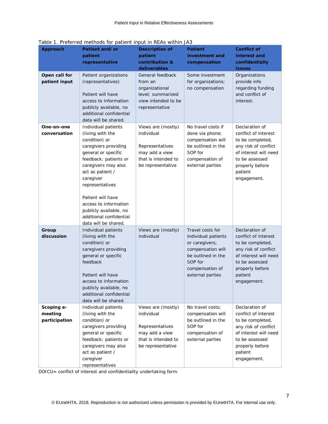| Approach                               | Patient and/or<br>patient<br>representative                                                                                                                                                                                                                                                                                            | <b>Description of</b><br>patient<br>contribution &<br>deliverables                                                | <b>Patient</b><br>investment and<br>compensation                                                                                                       | <b>Conflict of</b><br>interest and<br>confidentially<br>issues                                                                                                             |
|----------------------------------------|----------------------------------------------------------------------------------------------------------------------------------------------------------------------------------------------------------------------------------------------------------------------------------------------------------------------------------------|-------------------------------------------------------------------------------------------------------------------|--------------------------------------------------------------------------------------------------------------------------------------------------------|----------------------------------------------------------------------------------------------------------------------------------------------------------------------------|
| Open call for<br>patient input         | Patient organizations<br>(representatives)<br>Patient will have<br>access to information<br>publicly available, no<br>additional confidential<br>data will be shared.                                                                                                                                                                  | General feedback<br>from an<br>organizational<br>level; summarized<br>view intended to be<br>representative       | Some investment<br>for organizations;<br>no compensation                                                                                               | Organizations<br>provide info<br>regarding funding<br>and conflict of<br>interest.                                                                                         |
| One-on-one<br>conversation             | Individual patients<br>(living with the<br>condition) or<br>caregivers providing<br>general or specific<br>feedback; patients or<br>caregivers may also<br>act as patient /<br>caregiver<br>representatives<br>Patient will have<br>access to information<br>publicly available, no<br>additional confidential<br>data will be shared. | Views are (mostly)<br>individual<br>Representatives<br>may add a view<br>that is intended to<br>be representative | No travel costs if<br>done via phone;<br>compensation will<br>be outlined in the<br>SOP for<br>compensation of<br>external parties                     | Declaration of<br>conflict of interest<br>to be completed,<br>any risk of conflict<br>of interest will need<br>to be assessed<br>properly before<br>patient<br>engagement. |
| Group<br>discussion                    | Individual patients<br>(living with the<br>condition) or<br>caregivers providing<br>general or specific<br>feedback<br>Patient will have<br>access to information<br>publicly available, no<br>additional confidential<br>data will be shared.                                                                                         | Views are (mostly)<br>individual                                                                                  | Travel costs for<br>individual patients<br>or caregivers;<br>compensation will<br>be outlined in the<br>SOP for<br>compensation of<br>external parties | Declaration of<br>conflict of interest<br>to be completed,<br>any risk of conflict<br>of interest will need<br>to be assessed<br>properly before<br>patient<br>engagement. |
| Scoping e-<br>meeting<br>participation | Individual patients<br>(living with the<br>condition) or<br>caregivers providing<br>general or specific<br>feedback; patients or<br>caregivers may also<br>act as patient /<br>caregiver<br>representatives                                                                                                                            | Views are (mostly)<br>individual<br>Representatives<br>may add a view<br>that is intended to<br>be representative | No travel costs;<br>compensation will<br>be outlined in the<br>SOP for<br>compensation of<br>external parties                                          | Declaration of<br>conflict of interest<br>to be completed,<br>any risk of conflict<br>of interest will need<br>to be assessed<br>properly before<br>patient<br>engagement. |

*Table 1. Preferred methods for patient input in REAs within JA3*

DOICU= conflict of interest and confidentiality undertaking form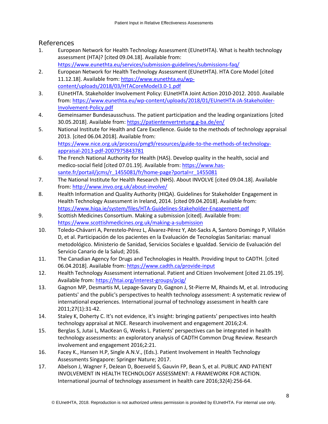## References

- 1. European Network for Health Technology Assessment (EUnetHTA). What is health technology assessment (HTA)? [cited 09.04.18]. Available from: <https://www.eunethta.eu/services/submission-guidelines/submissions-faq/>
- 2. European Network for Health Technology Assessment (EUnetHTA). HTA Core Model [cited 11.12.18]. Available from: [https://www.eunethta.eu/wp](https://www.eunethta.eu/wp-content/uploads/2018/03/HTACoreModel3.0-1.pdf)[content/uploads/2018/03/HTACoreModel3.0-1.pdf](https://www.eunethta.eu/wp-content/uploads/2018/03/HTACoreModel3.0-1.pdf)
- 3. EUnetHTA. Stakeholder Involvement Policy: EUnetHTA Joint Action 2010-2012. 2010. Available from: [https://www.eunethta.eu/wp-content/uploads/2018/01/EUnetHTA-JA-Stakeholder-](https://www.eunethta.eu/wp-content/uploads/2018/01/EUnetHTA-JA-Stakeholder-Involvement-Policy.pdf)[Involvement-Policy.pdf](https://www.eunethta.eu/wp-content/uploads/2018/01/EUnetHTA-JA-Stakeholder-Involvement-Policy.pdf)
- 4. Gemeinsamer Bundesausschuss. The patient participation and the leading organizations [cited 30.05.2018]. Available from:<https://patientenvertretung.g-ba.de/en/>
- 5. National Institute for Health and Care Excellence. Guide to the methods of technology appraisal 2013. [cited 06.04.2018]. Available from: [https://www.nice.org.uk/process/pmg9/resources/guide-to-the-methods-of-technology](https://www.nice.org.uk/process/pmg9/resources/guide-to-the-methods-of-technology-appraisal-2013-pdf-2007975843781)[appraisal-2013-pdf-2007975843781](https://www.nice.org.uk/process/pmg9/resources/guide-to-the-methods-of-technology-appraisal-2013-pdf-2007975843781)
- 6. The French National Authority for Health (HAS). Develop quality in the health, social and medico-social field [cited 07.01.19]. Available from: [https://www.has](https://www.has-sante.fr/portail/jcms/r_1455081/fr/home-page?portal=r_1455081)[sante.fr/portail/jcms/r\\_1455081/fr/home-page?portal=r\\_1455081](https://www.has-sante.fr/portail/jcms/r_1455081/fr/home-page?portal=r_1455081)
- 7. The National Institute for Health Research (NHS). About INVOLVE [cited 09.04.18]. Available from:<http://www.invo.org.uk/about-involve/>
- 8. Health Information and Quality Authority (HIQA). Guidelines for Stakeholder Engagement in Health Technology Assessment in Ireland, 2014. [cited 09.04.2018]. Available from: <https://www.hiqa.ie/system/files/HTA-Guidelines-Stakeholder-Engagement.pdf>
- 9. Scottish Medicines Consortium. Making a submission [cited]. Available from: <https://www.scottishmedicines.org.uk/making-a-submission>
- 10. Toledo-Chávarri A, Perestelo-Pérez L, Álvarez-Pérez Y, Abt-Sacks A, Santoro Domingo P, Villalón D, et al. Participación de los pacientes en la Evaluación de Tecnologías Sanitarias: manual metodológico. Ministerio de Sanidad, Servicios Sociales e Igualdad. Servicio de Evaluación del Servicio Canario de la Salud; 2016.
- 11. The Canadian Agency for Drugs and Technologies in Health. Providing Input to CADTH. [cited 06.04.2018]. Available from:<https://www.cadth.ca/provide-input>
- 12. Health Technology Assessment international. Patient and Citizen Involvement [cited 21.05.19]. Available from:<https://htai.org/interest-groups/pcig/>
- 13. Gagnon MP, Desmartis M, Lepage-Savary D, Gagnon J, St-Pierre M, Rhainds M, et al. Introducing patients' and the public's perspectives to health technology assessment: A systematic review of international experiences. International journal of technology assessment in health care 2011;27(1):31-42.
- 14. Staley K, Doherty C. It's not evidence, it's insight: bringing patients' perspectives into health technology appraisal at NICE. Research involvement and engagement 2016;2:4.
- 15. Berglas S, Jutai L, MacKean G, Weeks L. Patients' perspectives can be integrated in health technology assessments: an exploratory analysis of CADTH Common Drug Review. Research involvement and engagement 2016;2:21.
- 16. Facey K., Hansen H.P, Single A.N.V., (Eds.). Patient Involvement in Health Technology Assessments Singapore: Springer Nature; 2017.
- 17. Abelson J, Wagner F, DeJean D, Boesveld S, Gauvin FP, Bean S, et al. PUBLIC AND PATIENT INVOLVEMENT IN HEALTH TECHNOLOGY ASSESSMENT: A FRAMEWORK FOR ACTION. International journal of technology assessment in health care 2016;32(4):256-64.